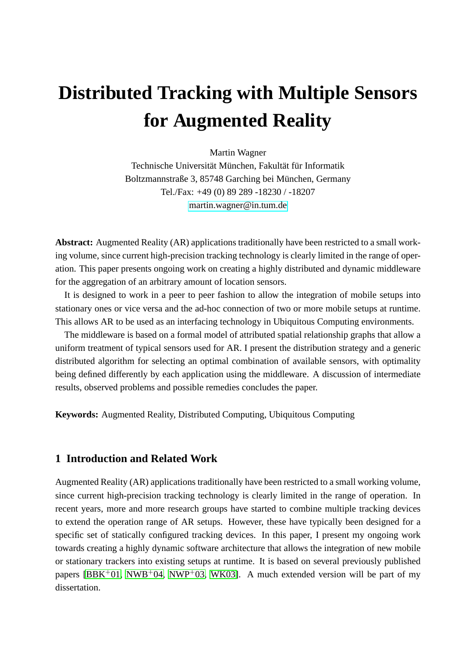# **Distributed Tracking with Multiple Sensors for Augmented Reality**

Martin Wagner Technische Universität München, Fakultät für Informatik Boltzmannstraße 3, 85748 Garching bei München, Germany Tel./Fax: +49 (0) 89 289 -18230 / -18207 [martin.wagner@in.tum.de](mailto:martin.wagner@in.tum.de)

**Abstract:** Augmented Reality (AR) applications traditionally have been restricted to a small working volume, since current high-precision tracking technology is clearly limited in the range of operation. This paper presents ongoing work on creating a highly distributed and dynamic middleware for the aggregation of an arbitrary amount of location sensors.

It is designed to work in a peer to peer fashion to allow the integration of mobile setups into stationary ones or vice versa and the ad-hoc connection of two or more mobile setups at runtime. This allows AR to be used as an interfacing technology in Ubiquitous Computing environments.

The middleware is based on a formal model of attributed spatial relationship graphs that allow a uniform treatment of typical sensors used for AR. I present the distribution strategy and a generic distributed algorithm for selecting an optimal combination of available sensors, with optimality being defined differently by each application using the middleware. A discussion of intermediate results, observed problems and possible remedies concludes the paper.

**Keywords:** Augmented Reality, Distributed Computing, Ubiquitous Computing

# **1 Introduction and Related Work**

Augmented Reality (AR) applications traditionally have been restricted to a small working volume, since current high-precision tracking technology is clearly limited in the range of operation. In recent years, more and more research groups have started to combine multiple tracking devices to extend the operation range of AR setups. However, these have typically been designed for a specific set of statically configured tracking devices. In this paper, I present my ongoing work towards creating a highly dynamic software architecture that allows the integration of new mobile or stationary trackers into existing setups at runtime. It is based on several previously published papers [\[BBK](#page-10-0)+01, [NWB](#page-11-0)+04, [NWP](#page-11-1)+03, [WK03\]](#page-11-2). A much extended version will be part of my dissertation.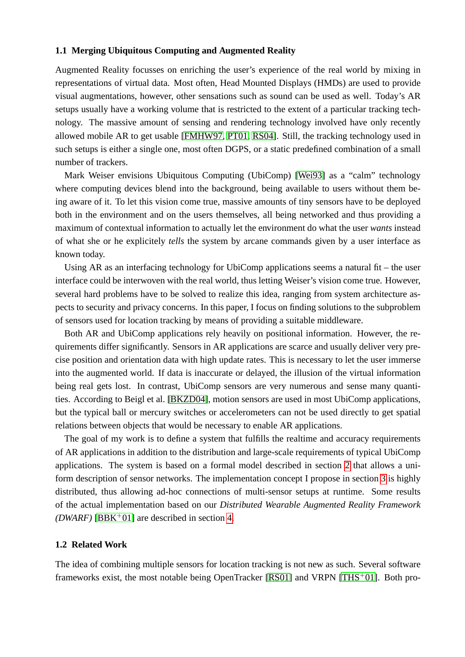#### **1.1 Merging Ubiquitous Computing and Augmented Reality**

Augmented Reality focusses on enriching the user's experience of the real world by mixing in representations of virtual data. Most often, Head Mounted Displays (HMDs) are used to provide visual augmentations, however, other sensations such as sound can be used as well. Today's AR setups usually have a working volume that is restricted to the extent of a particular tracking technology. The massive amount of sensing and rendering technology involved have only recently allowed mobile AR to get usable [\[FMHW97,](#page-10-1) [PT01,](#page-11-3) [RS04\]](#page-11-4). Still, the tracking technology used in such setups is either a single one, most often DGPS, or a static predefined combination of a small number of trackers.

Mark Weiser envisions Ubiquitous Computing (UbiComp) [\[Wei93\]](#page-11-5) as a "calm" technology where computing devices blend into the background, being available to users without them being aware of it. To let this vision come true, massive amounts of tiny sensors have to be deployed both in the environment and on the users themselves, all being networked and thus providing a maximum of contextual information to actually let the environment do what the user *wants* instead of what she or he explicitely *tells* the system by arcane commands given by a user interface as known today.

Using AR as an interfacing technology for UbiComp applications seems a natural fit – the user interface could be interwoven with the real world, thus letting Weiser's vision come true. However, several hard problems have to be solved to realize this idea, ranging from system architecture aspects to security and privacy concerns. In this paper, I focus on finding solutions to the subproblem of sensors used for location tracking by means of providing a suitable middleware.

Both AR and UbiComp applications rely heavily on positional information. However, the requirements differ significantly. Sensors in AR applications are scarce and usually deliver very precise position and orientation data with high update rates. This is necessary to let the user immerse into the augmented world. If data is inaccurate or delayed, the illusion of the virtual information being real gets lost. In contrast, UbiComp sensors are very numerous and sense many quantities. According to Beigl et al. [\[BKZD04\]](#page-10-2), motion sensors are used in most UbiComp applications, but the typical ball or mercury switches or accelerometers can not be used directly to get spatial relations between objects that would be necessary to enable AR applications.

The goal of my work is to define a system that fulfills the realtime and accuracy requirements of AR applications in addition to the distribution and large-scale requirements of typical UbiComp applications. The system is based on a formal model described in section [2](#page-2-0) that allows a uniform description of sensor networks. The implementation concept I propose in section [3](#page-5-0) is highly distributed, thus allowing ad-hoc connections of multi-sensor setups at runtime. Some results of the actual implementation based on our *Distributed Wearable Augmented Reality Framework (DWARF)* [\[BBK](#page-10-0)<sup>+</sup>01] are described in section [4.](#page-9-0)

#### **1.2 Related Work**

The idea of combining multiple sensors for location tracking is not new as such. Several software frameworks exist, the most notable being OpenTracker  $[RS01]$  and  $VRPN$   $[THS+01]$ . Both pro-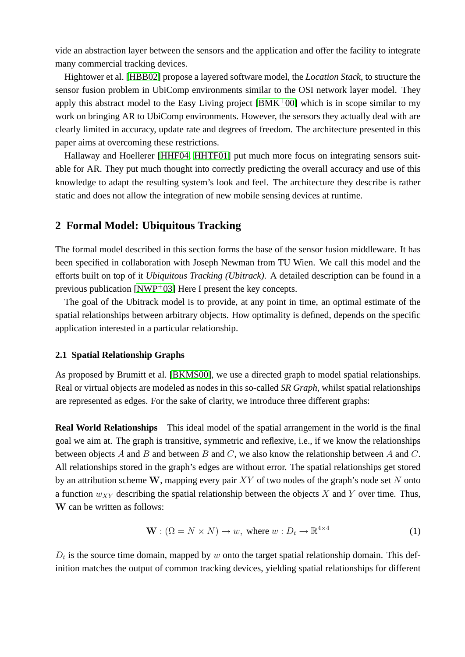vide an abstraction layer between the sensors and the application and offer the facility to integrate many commercial tracking devices.

Hightower et al. [\[HBB02\]](#page-11-8) propose a layered software model, the *Location Stack*, to structure the sensor fusion problem in UbiComp environments similar to the OSI network layer model. They apply this abstract model to the Easy Living project  $[BMK^+00]$  which is in scope similar to my work on bringing AR to UbiComp environments. However, the sensors they actually deal with are clearly limited in accuracy, update rate and degrees of freedom. The architecture presented in this paper aims at overcoming these restrictions.

Hallaway and Hoellerer [\[HHF04,](#page-11-9) [HHTF01\]](#page-11-10) put much more focus on integrating sensors suitable for AR. They put much thought into correctly predicting the overall accuracy and use of this knowledge to adapt the resulting system's look and feel. The architecture they describe is rather static and does not allow the integration of new mobile sensing devices at runtime.

# <span id="page-2-0"></span>**2 Formal Model: Ubiquitous Tracking**

The formal model described in this section forms the base of the sensor fusion middleware. It has been specified in collaboration with Joseph Newman from TU Wien. We call this model and the efforts built on top of it *Ubiquitous Tracking (Ubitrack)*. A detailed description can be found in a previous publication  $\text{[NWP}^+03]$  Here I present the key concepts.

The goal of the Ubitrack model is to provide, at any point in time, an optimal estimate of the spatial relationships between arbitrary objects. How optimality is defined, depends on the specific application interested in a particular relationship.

#### **2.1 Spatial Relationship Graphs**

As proposed by Brumitt et al. [\[BKMS00\]](#page-10-4), we use a directed graph to model spatial relationships. Real or virtual objects are modeled as nodes in this so-called *SR Graph*, whilst spatial relationships are represented as edges. For the sake of clarity, we introduce three different graphs:

**Real World Relationships** This ideal model of the spatial arrangement in the world is the final goal we aim at. The graph is transitive, symmetric and reflexive, i.e., if we know the relationships between objects  $A$  and  $B$  and between  $B$  and  $C$ , we also know the relationship between  $A$  and  $C$ . All relationships stored in the graph's edges are without error. The spatial relationships get stored by an attribution scheme W, mapping every pair  $XY$  of two nodes of the graph's node set N onto a function  $w_{XY}$  describing the spatial relationship between the objects X and Y over time. Thus, W can be written as follows:

$$
\mathbf{W} : (\Omega = N \times N) \to w, \text{ where } w : D_t \to \mathbb{R}^{4 \times 4}
$$
 (1)

 $D_t$  is the source time domain, mapped by w onto the target spatial relationship domain. This definition matches the output of common tracking devices, yielding spatial relationships for different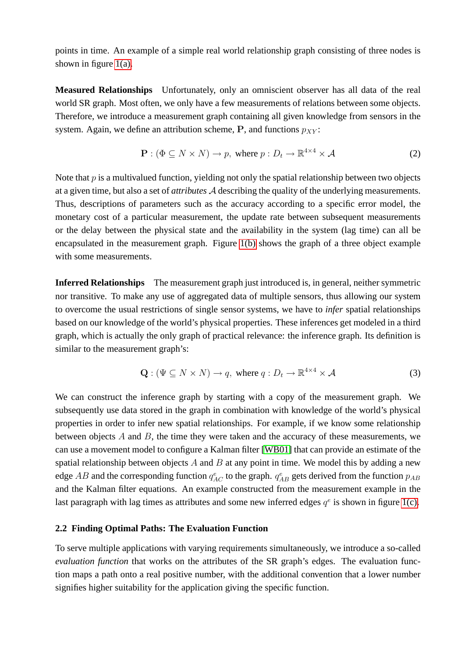points in time. An example of a simple real world relationship graph consisting of three nodes is shown in figure  $1(a)$ .

**Measured Relationships** Unfortunately, only an omniscient observer has all data of the real world SR graph. Most often, we only have a few measurements of relations between some objects. Therefore, we introduce a measurement graph containing all given knowledge from sensors in the system. Again, we define an attribution scheme, P, and functions  $p_{XY}$ :

$$
\mathbf{P} : (\Phi \subseteq N \times N) \to p, \text{ where } p : D_t \to \mathbb{R}^{4 \times 4} \times \mathcal{A}
$$
 (2)

Note that  $p$  is a multivalued function, yielding not only the spatial relationship between two objects at a given time, but also a set of *attributes* A describing the quality of the underlying measurements. Thus, descriptions of parameters such as the accuracy according to a specific error model, the monetary cost of a particular measurement, the update rate between subsequent measurements or the delay between the physical state and the availability in the system (lag time) can all be encapsulated in the measurement graph. Figure [1\(b\)](#page-4-1) shows the graph of a three object example with some measurements.

**Inferred Relationships** The measurement graph just introduced is, in general, neither symmetric nor transitive. To make any use of aggregated data of multiple sensors, thus allowing our system to overcome the usual restrictions of single sensor systems, we have to *infer* spatial relationships based on our knowledge of the world's physical properties. These inferences get modeled in a third graph, which is actually the only graph of practical relevance: the inference graph. Its definition is similar to the measurement graph's:

$$
\mathbf{Q}: (\Psi \subseteq N \times N) \to q, \text{ where } q: D_t \to \mathbb{R}^{4 \times 4} \times \mathcal{A}
$$
 (3)

We can construct the inference graph by starting with a copy of the measurement graph. We subsequently use data stored in the graph in combination with knowledge of the world's physical properties in order to infer new spatial relationships. For example, if we know some relationship between objects  $A$  and  $B$ , the time they were taken and the accuracy of these measurements, we can use a movement model to configure a Kalman filter [\[WB01\]](#page-11-11) that can provide an estimate of the spatial relationship between objects  $A$  and  $B$  at any point in time. We model this by adding a new edge AB and the corresponding function  $q_{AC}^e$  to the graph.  $q_{AB}^e$  gets derived from the function  $p_{AB}$ and the Kalman filter equations. An example constructed from the measurement example in the last paragraph with lag times as attributes and some new inferred edges  $q^e$  is shown in figure [1\(c\).](#page-4-2)

## <span id="page-3-0"></span>**2.2 Finding Optimal Paths: The Evaluation Function**

To serve multiple applications with varying requirements simultaneously, we introduce a so-called *evaluation function* that works on the attributes of the SR graph's edges. The evaluation function maps a path onto a real positive number, with the additional convention that a lower number signifies higher suitability for the application giving the specific function.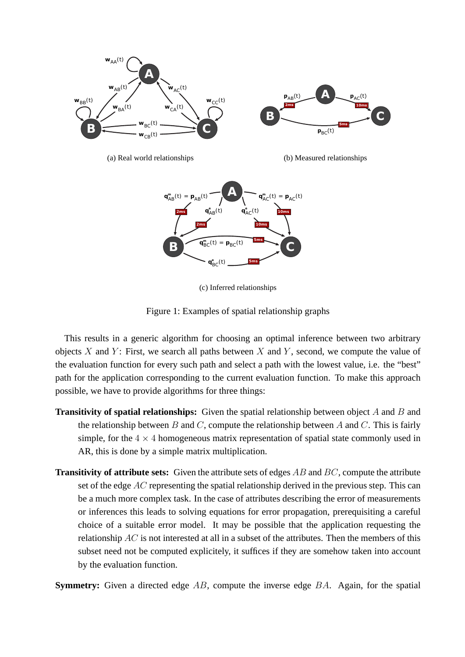<span id="page-4-2"></span><span id="page-4-0"></span>

<span id="page-4-1"></span>

Figure 1: Examples of spatial relationship graphs

This results in a generic algorithm for choosing an optimal inference between two arbitrary objects X and Y: First, we search all paths between X and Y, second, we compute the value of the evaluation function for every such path and select a path with the lowest value, i.e. the "best" path for the application corresponding to the current evaluation function. To make this approach possible, we have to provide algorithms for three things:

- **Transitivity of spatial relationships:** Given the spatial relationship between object A and B and the relationship between B and C, compute the relationship between A and C. This is fairly simple, for the  $4 \times 4$  homogeneous matrix representation of spatial state commonly used in AR, this is done by a simple matrix multiplication.
- **Transitivity of attribute sets:** Given the attribute sets of edges AB and BC, compute the attribute set of the edge  $AC$  representing the spatial relationship derived in the previous step. This can be a much more complex task. In the case of attributes describing the error of measurements or inferences this leads to solving equations for error propagation, prerequisiting a careful choice of a suitable error model. It may be possible that the application requesting the relationship  $AC$  is not interested at all in a subset of the attributes. Then the members of this subset need not be computed explicitely, it suffices if they are somehow taken into account by the evaluation function.

**Symmetry:** Given a directed edge AB, compute the inverse edge BA. Again, for the spatial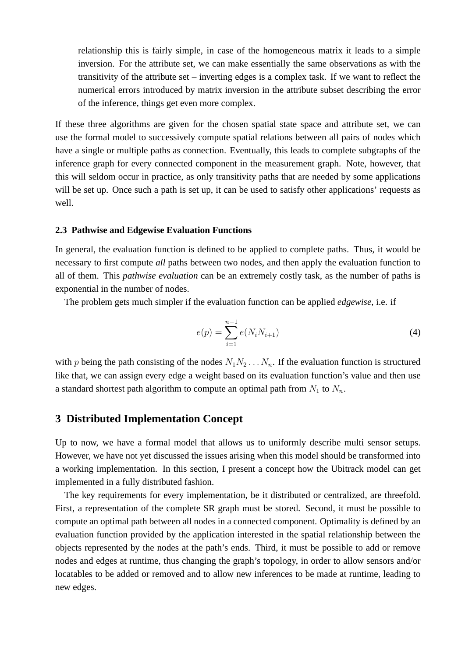relationship this is fairly simple, in case of the homogeneous matrix it leads to a simple inversion. For the attribute set, we can make essentially the same observations as with the transitivity of the attribute set – inverting edges is a complex task. If we want to reflect the numerical errors introduced by matrix inversion in the attribute subset describing the error of the inference, things get even more complex.

If these three algorithms are given for the chosen spatial state space and attribute set, we can use the formal model to successively compute spatial relations between all pairs of nodes which have a single or multiple paths as connection. Eventually, this leads to complete subgraphs of the inference graph for every connected component in the measurement graph. Note, however, that this will seldom occur in practice, as only transitivity paths that are needed by some applications will be set up. Once such a path is set up, it can be used to satisfy other applications' requests as well.

#### **2.3 Pathwise and Edgewise Evaluation Functions**

In general, the evaluation function is defined to be applied to complete paths. Thus, it would be necessary to first compute *all* paths between two nodes, and then apply the evaluation function to all of them. This *pathwise evaluation* can be an extremely costly task, as the number of paths is exponential in the number of nodes.

The problem gets much simpler if the evaluation function can be applied *edgewise*, i.e. if

$$
e(p) = \sum_{i=1}^{n-1} e(N_i N_{i+1})
$$
\n(4)

with p being the path consisting of the nodes  $N_1N_2 \ldots N_n$ . If the evaluation function is structured like that, we can assign every edge a weight based on its evaluation function's value and then use a standard shortest path algorithm to compute an optimal path from  $N_1$  to  $N_n$ .

# <span id="page-5-0"></span>**3 Distributed Implementation Concept**

Up to now, we have a formal model that allows us to uniformly describe multi sensor setups. However, we have not yet discussed the issues arising when this model should be transformed into a working implementation. In this section, I present a concept how the Ubitrack model can get implemented in a fully distributed fashion.

The key requirements for every implementation, be it distributed or centralized, are threefold. First, a representation of the complete SR graph must be stored. Second, it must be possible to compute an optimal path between all nodes in a connected component. Optimality is defined by an evaluation function provided by the application interested in the spatial relationship between the objects represented by the nodes at the path's ends. Third, it must be possible to add or remove nodes and edges at runtime, thus changing the graph's topology, in order to allow sensors and/or locatables to be added or removed and to allow new inferences to be made at runtime, leading to new edges.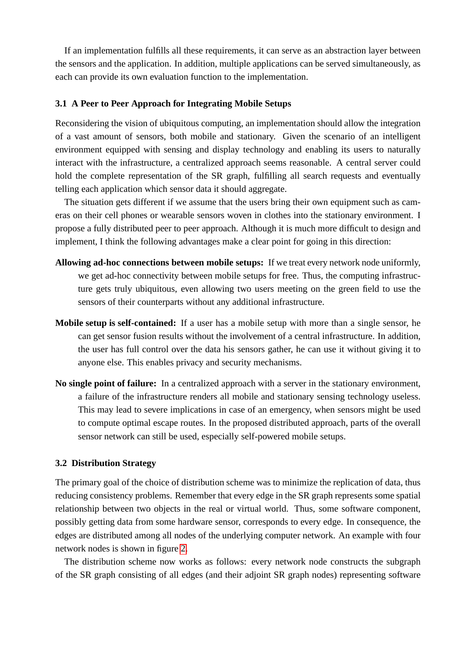If an implementation fulfills all these requirements, it can serve as an abstraction layer between the sensors and the application. In addition, multiple applications can be served simultaneously, as each can provide its own evaluation function to the implementation.

#### **3.1 A Peer to Peer Approach for Integrating Mobile Setups**

Reconsidering the vision of ubiquitous computing, an implementation should allow the integration of a vast amount of sensors, both mobile and stationary. Given the scenario of an intelligent environment equipped with sensing and display technology and enabling its users to naturally interact with the infrastructure, a centralized approach seems reasonable. A central server could hold the complete representation of the SR graph, fulfilling all search requests and eventually telling each application which sensor data it should aggregate.

The situation gets different if we assume that the users bring their own equipment such as cameras on their cell phones or wearable sensors woven in clothes into the stationary environment. I propose a fully distributed peer to peer approach. Although it is much more difficult to design and implement, I think the following advantages make a clear point for going in this direction:

- **Allowing ad-hoc connections between mobile setups:** If we treat every network node uniformly, we get ad-hoc connectivity between mobile setups for free. Thus, the computing infrastructure gets truly ubiquitous, even allowing two users meeting on the green field to use the sensors of their counterparts without any additional infrastructure.
- **Mobile setup is self-contained:** If a user has a mobile setup with more than a single sensor, he can get sensor fusion results without the involvement of a central infrastructure. In addition, the user has full control over the data his sensors gather, he can use it without giving it to anyone else. This enables privacy and security mechanisms.
- **No single point of failure:** In a centralized approach with a server in the stationary environment, a failure of the infrastructure renders all mobile and stationary sensing technology useless. This may lead to severe implications in case of an emergency, when sensors might be used to compute optimal escape routes. In the proposed distributed approach, parts of the overall sensor network can still be used, especially self-powered mobile setups.

## **3.2 Distribution Strategy**

The primary goal of the choice of distribution scheme was to minimize the replication of data, thus reducing consistency problems. Remember that every edge in the SR graph represents some spatial relationship between two objects in the real or virtual world. Thus, some software component, possibly getting data from some hardware sensor, corresponds to every edge. In consequence, the edges are distributed among all nodes of the underlying computer network. An example with four network nodes is shown in figure [2.](#page-7-0)

The distribution scheme now works as follows: every network node constructs the subgraph of the SR graph consisting of all edges (and their adjoint SR graph nodes) representing software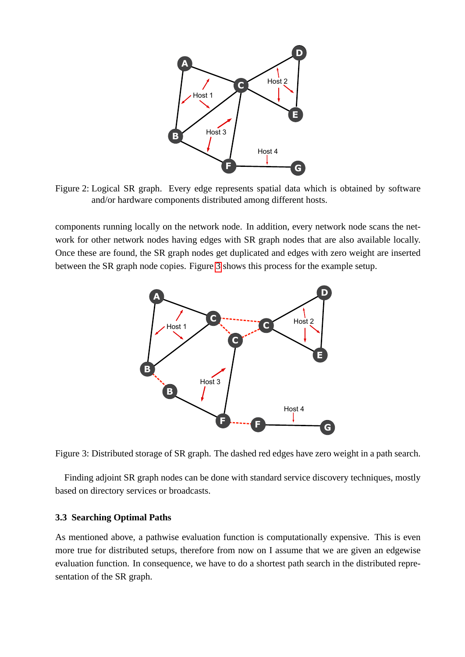

<span id="page-7-0"></span>Figure 2: Logical SR graph. Every edge represents spatial data which is obtained by software and/or hardware components distributed among different hosts.

components running locally on the network node. In addition, every network node scans the network for other network nodes having edges with SR graph nodes that are also available locally. Once these are found, the SR graph nodes get duplicated and edges with zero weight are inserted between the SR graph node copies. Figure [3](#page-7-1) shows this process for the example setup.



<span id="page-7-1"></span>Figure 3: Distributed storage of SR graph. The dashed red edges have zero weight in a path search.

Finding adjoint SR graph nodes can be done with standard service discovery techniques, mostly based on directory services or broadcasts.

## **3.3 Searching Optimal Paths**

As mentioned above, a pathwise evaluation function is computationally expensive. This is even more true for distributed setups, therefore from now on I assume that we are given an edgewise evaluation function. In consequence, we have to do a shortest path search in the distributed representation of the SR graph.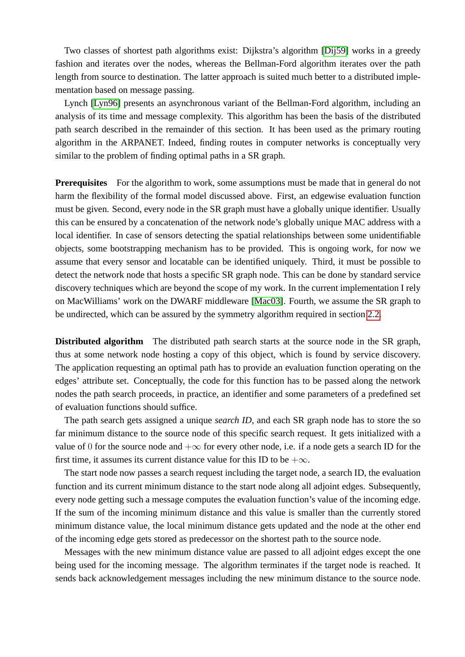Two classes of shortest path algorithms exist: Dijkstra's algorithm [\[Dij59\]](#page-10-5) works in a greedy fashion and iterates over the nodes, whereas the Bellman-Ford algorithm iterates over the path length from source to destination. The latter approach is suited much better to a distributed implementation based on message passing.

Lynch [\[Lyn96\]](#page-11-12) presents an asynchronous variant of the Bellman-Ford algorithm, including an analysis of its time and message complexity. This algorithm has been the basis of the distributed path search described in the remainder of this section. It has been used as the primary routing algorithm in the ARPANET. Indeed, finding routes in computer networks is conceptually very similar to the problem of finding optimal paths in a SR graph.

**Prerequisites** For the algorithm to work, some assumptions must be made that in general do not harm the flexibility of the formal model discussed above. First, an edgewise evaluation function must be given. Second, every node in the SR graph must have a globally unique identifier. Usually this can be ensured by a concatenation of the network node's globally unique MAC address with a local identifier. In case of sensors detecting the spatial relationships between some unidentifiable objects, some bootstrapping mechanism has to be provided. This is ongoing work, for now we assume that every sensor and locatable can be identified uniquely. Third, it must be possible to detect the network node that hosts a specific SR graph node. This can be done by standard service discovery techniques which are beyond the scope of my work. In the current implementation I rely on MacWilliams' work on the DWARF middleware [\[Mac03\]](#page-11-13). Fourth, we assume the SR graph to be undirected, which can be assured by the symmetry algorithm required in section [2.2.](#page-3-0)

**Distributed algorithm** The distributed path search starts at the source node in the SR graph, thus at some network node hosting a copy of this object, which is found by service discovery. The application requesting an optimal path has to provide an evaluation function operating on the edges' attribute set. Conceptually, the code for this function has to be passed along the network nodes the path search proceeds, in practice, an identifier and some parameters of a predefined set of evaluation functions should suffice.

The path search gets assigned a unique *search ID*, and each SR graph node has to store the so far minimum distance to the source node of this specific search request. It gets initialized with a value of 0 for the source node and  $+\infty$  for every other node, i.e. if a node gets a search ID for the first time, it assumes its current distance value for this ID to be  $+\infty$ .

The start node now passes a search request including the target node, a search ID, the evaluation function and its current minimum distance to the start node along all adjoint edges. Subsequently, every node getting such a message computes the evaluation function's value of the incoming edge. If the sum of the incoming minimum distance and this value is smaller than the currently stored minimum distance value, the local minimum distance gets updated and the node at the other end of the incoming edge gets stored as predecessor on the shortest path to the source node.

Messages with the new minimum distance value are passed to all adjoint edges except the one being used for the incoming message. The algorithm terminates if the target node is reached. It sends back acknowledgement messages including the new minimum distance to the source node.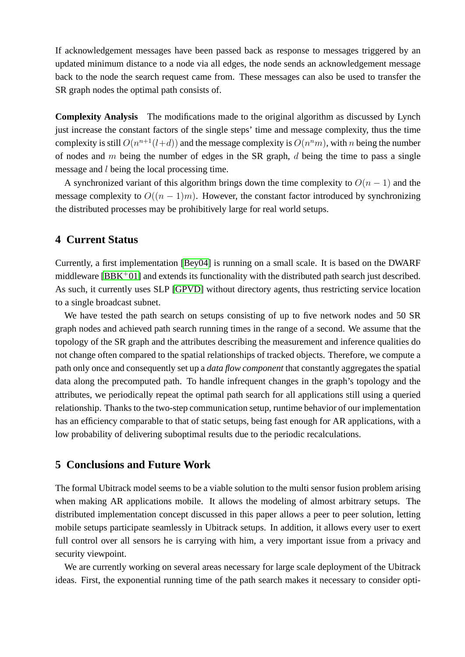If acknowledgement messages have been passed back as response to messages triggered by an updated minimum distance to a node via all edges, the node sends an acknowledgement message back to the node the search request came from. These messages can also be used to transfer the SR graph nodes the optimal path consists of.

**Complexity Analysis** The modifications made to the original algorithm as discussed by Lynch just increase the constant factors of the single steps' time and message complexity, thus the time complexity is still  $O(n^{n+1}(l+d))$  and the message complexity is  $O(n^n m)$ , with n being the number of nodes and  $m$  being the number of edges in the SR graph,  $d$  being the time to pass a single message and l being the local processing time.

A synchronized variant of this algorithm brings down the time complexity to  $O(n - 1)$  and the message complexity to  $O((n-1)m)$ . However, the constant factor introduced by synchronizing the distributed processes may be prohibitively large for real world setups.

# <span id="page-9-0"></span>**4 Current Status**

Currently, a first implementation [\[Bey04\]](#page-10-6) is running on a small scale. It is based on the DWARF middleware  $[BBK^+01]$  and extends its functionality with the distributed path search just described. As such, it currently uses SLP [\[GPVD\]](#page-11-14) without directory agents, thus restricting service location to a single broadcast subnet.

We have tested the path search on setups consisting of up to five network nodes and 50 SR graph nodes and achieved path search running times in the range of a second. We assume that the topology of the SR graph and the attributes describing the measurement and inference qualities do not change often compared to the spatial relationships of tracked objects. Therefore, we compute a path only once and consequently set up a *data flow component* that constantly aggregates the spatial data along the precomputed path. To handle infrequent changes in the graph's topology and the attributes, we periodically repeat the optimal path search for all applications still using a queried relationship. Thanks to the two-step communication setup, runtime behavior of our implementation has an efficiency comparable to that of static setups, being fast enough for AR applications, with a low probability of delivering suboptimal results due to the periodic recalculations.

# **5 Conclusions and Future Work**

The formal Ubitrack model seems to be a viable solution to the multi sensor fusion problem arising when making AR applications mobile. It allows the modeling of almost arbitrary setups. The distributed implementation concept discussed in this paper allows a peer to peer solution, letting mobile setups participate seamlessly in Ubitrack setups. In addition, it allows every user to exert full control over all sensors he is carrying with him, a very important issue from a privacy and security viewpoint.

We are currently working on several areas necessary for large scale deployment of the Ubitrack ideas. First, the exponential running time of the path search makes it necessary to consider opti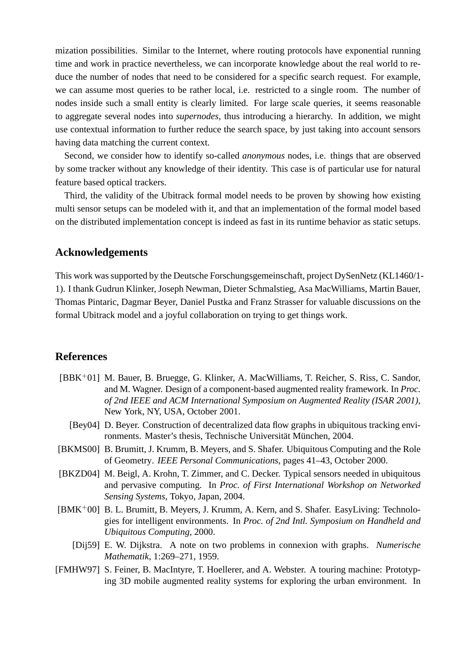mization possibilities. Similar to the Internet, where routing protocols have exponential running time and work in practice nevertheless, we can incorporate knowledge about the real world to reduce the number of nodes that need to be considered for a specific search request. For example, we can assume most queries to be rather local, i.e. restricted to a single room. The number of nodes inside such a small entity is clearly limited. For large scale queries, it seems reasonable to aggregate several nodes into *supernodes*, thus introducing a hierarchy. In addition, we might use contextual information to further reduce the search space, by just taking into account sensors having data matching the current context.

Second, we consider how to identify so-called *anonymous* nodes, i.e. things that are observed by some tracker without any knowledge of their identity. This case is of particular use for natural feature based optical trackers.

Third, the validity of the Ubitrack formal model needs to be proven by showing how existing multi sensor setups can be modeled with it, and that an implementation of the formal model based on the distributed implementation concept is indeed as fast in its runtime behavior as static setups.

## **Acknowledgements**

This work was supported by the Deutsche Forschungsgemeinschaft, project DySenNetz (KL1460/1- 1). I thank Gudrun Klinker, Joseph Newman, Dieter Schmalstieg, Asa MacWilliams, Martin Bauer, Thomas Pintaric, Dagmar Beyer, Daniel Pustka and Franz Strasser for valuable discussions on the formal Ubitrack model and a joyful collaboration on trying to get things work.

# **References**

- <span id="page-10-0"></span>[BBK<sup>+</sup>01] M. Bauer, B. Bruegge, G. Klinker, A. MacWilliams, T. Reicher, S. Riss, C. Sandor, and M. Wagner. Design of a component-based augmented reality framework. In *Proc. of 2nd IEEE and ACM International Symposium on Augmented Reality (ISAR 2001)*, New York, NY, USA, October 2001.
	- [Bey04] D. Beyer. Construction of decentralized data flow graphs in ubiquitous tracking environments. Master's thesis, Technische Universität München, 2004.
- <span id="page-10-6"></span><span id="page-10-4"></span>[BKMS00] B. Brumitt, J. Krumm, B. Meyers, and S. Shafer. Ubiquitous Computing and the Role of Geometry. *IEEE Personal Communications*, pages 41–43, October 2000.
- <span id="page-10-2"></span>[BKZD04] M. Beigl, A. Krohn, T. Zimmer, and C. Decker. Typical sensors needed in ubiquitous and pervasive computing. In *Proc. of First International Workshop on Networked Sensing Systems*, Tokyo, Japan, 2004.
- <span id="page-10-3"></span>[BMK<sup>+</sup>00] B. L. Brumitt, B. Meyers, J. Krumm, A. Kern, and S. Shafer. EasyLiving: Technologies for intelligent environments. In *Proc. of 2nd Intl. Symposium on Handheld and Ubiquitous Computing*, 2000.
	- [Dij59] E. W. Dijkstra. A note on two problems in connexion with graphs. *Numerische Mathematik*, 1:269–271, 1959.
- <span id="page-10-5"></span><span id="page-10-1"></span>[FMHW97] S. Feiner, B. MacIntyre, T. Hoellerer, and A. Webster. A touring machine: Prototyping 3D mobile augmented reality systems for exploring the urban environment. In